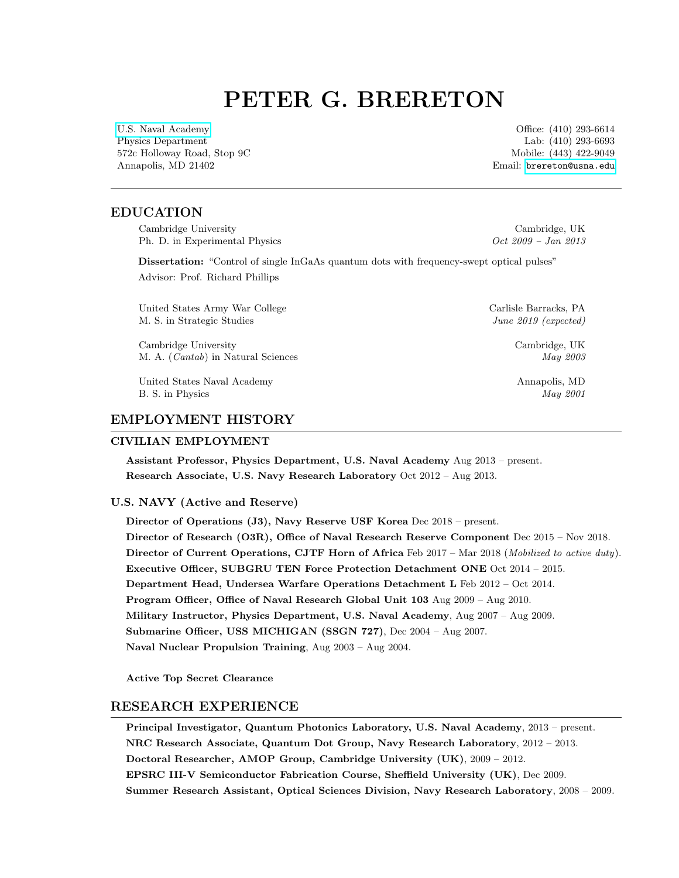# PETER G. BRERETON

[U.S. Naval Academy](http://www.usna.edu/Users/physics/brereton/) Office: (410) 293-6614 Physics Department Lab: (410) 293-6693 572c Holloway Road, Stop 9C and Stop 572c Holloway Road, Stop 9C and Stop 572c Holloway Road, Stop 9C Annapolis, MD 21402 Email: [brereton@usna.edu](mailto:brereton@usna.edu)

#### EDUCATION

Cambridge University Cambridge, UK Ph. D. in Experimental Physics  $Oct\ 2009$  – Jan 2013

Dissertation: "Control of single InGaAs quantum dots with frequency-swept optical pulses" Advisor: Prof. Richard Phillips

United States Army War College Carlisle Barracks, PA M. S. in Strategic Studies June 2019 (expected)

Cambridge University Cambridge, UK M. A. (*Cantab*) in Natural Sciences May 2003

United States Naval Academy Annapolis, MD B. S. in Physics May 2001

# EMPLOYMENT HISTORY

#### CIVILIAN EMPLOYMENT

Assistant Professor, Physics Department, U.S. Naval Academy Aug 2013 – present. Research Associate, U.S. Navy Research Laboratory Oct 2012 – Aug 2013.

#### U.S. NAVY (Active and Reserve)

Director of Operations (J3), Navy Reserve USF Korea Dec 2018 – present. Director of Research (O3R), Office of Naval Research Reserve Component Dec 2015 – Nov 2018. Director of Current Operations, CJTF Horn of Africa Feb 2017 – Mar 2018 (Mobilized to active duty). Executive Officer, SUBGRU TEN Force Protection Detachment ONE Oct 2014 – 2015. Department Head, Undersea Warfare Operations Detachment L Feb 2012 – Oct 2014. Program Officer, Office of Naval Research Global Unit 103 Aug 2009 – Aug 2010. Military Instructor, Physics Department, U.S. Naval Academy, Aug 2007 – Aug 2009. Submarine Officer, USS MICHIGAN (SSGN 727), Dec 2004 – Aug 2007. Naval Nuclear Propulsion Training, Aug 2003 – Aug 2004.

Active Top Secret Clearance

## RESEARCH EXPERIENCE

Principal Investigator, Quantum Photonics Laboratory, U.S. Naval Academy, 2013 – present. NRC Research Associate, Quantum Dot Group, Navy Research Laboratory, 2012 – 2013. Doctoral Researcher, AMOP Group, Cambridge University (UK), 2009 – 2012. EPSRC III-V Semiconductor Fabrication Course, Sheffield University (UK), Dec 2009. Summer Research Assistant, Optical Sciences Division, Navy Research Laboratory, 2008 – 2009.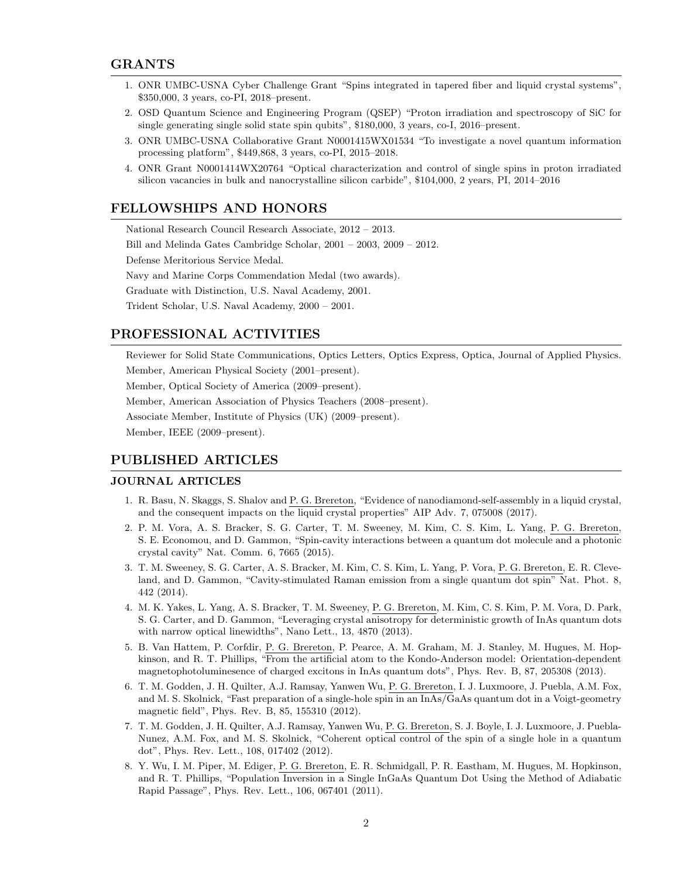- 1. ONR UMBC-USNA Cyber Challenge Grant "Spins integrated in tapered fiber and liquid crystal systems", \$350,000, 3 years, co-PI, 2018–present.
- 2. OSD Quantum Science and Engineering Program (QSEP) "Proton irradiation and spectroscopy of SiC for single generating single solid state spin qubits", \$180,000, 3 years, co-I, 2016–present.
- 3. ONR UMBC-USNA Collaborative Grant N0001415WX01534 "To investigate a novel quantum information processing platform", \$449,868, 3 years, co-PI, 2015–2018.
- 4. ONR Grant N0001414WX20764 "Optical characterization and control of single spins in proton irradiated silicon vacancies in bulk and nanocrystalline silicon carbide", \$104,000, 2 years, PI, 2014–2016

## FELLOWSHIPS AND HONORS

National Research Council Research Associate, 2012 – 2013. Bill and Melinda Gates Cambridge Scholar, 2001 – 2003, 2009 – 2012. Defense Meritorious Service Medal. Navy and Marine Corps Commendation Medal (two awards). Graduate with Distinction, U.S. Naval Academy, 2001. Trident Scholar, U.S. Naval Academy, 2000 – 2001.

## PROFESSIONAL ACTIVITIES

Reviewer for Solid State Communications, Optics Letters, Optics Express, Optica, Journal of Applied Physics. Member, American Physical Society (2001–present).

Member, Optical Society of America (2009–present).

Member, American Association of Physics Teachers (2008–present).

Associate Member, Institute of Physics (UK) (2009–present).

Member, IEEE (2009–present).

## PUBLISHED ARTICLES

#### JOURNAL ARTICLES

- 1. R. Basu, N. Skaggs, S. Shalov and P. G. Brereton, "Evidence of nanodiamond-self-assembly in a liquid crystal, and the consequent impacts on the liquid crystal properties" AIP Adv. 7, 075008 (2017).
- 2. P. M. Vora, A. S. Bracker, S. G. Carter, T. M. Sweeney, M. Kim, C. S. Kim, L. Yang, P. G. Brereton, S. E. Economou, and D. Gammon, "Spin-cavity interactions between a quantum dot molecule and a photonic crystal cavity" Nat. Comm. 6, 7665 (2015).
- 3. T. M. Sweeney, S. G. Carter, A. S. Bracker, M. Kim, C. S. Kim, L. Yang, P. Vora, P. G. Brereton, E. R. Cleveland, and D. Gammon, "Cavity-stimulated Raman emission from a single quantum dot spin" Nat. Phot. 8, 442 (2014).
- 4. M. K. Yakes, L. Yang, A. S. Bracker, T. M. Sweeney, P. G. Brereton, M. Kim, C. S. Kim, P. M. Vora, D. Park, S. G. Carter, and D. Gammon, "Leveraging crystal anisotropy for deterministic growth of InAs quantum dots with narrow optical linewidths", Nano Lett., 13, 4870 (2013).
- 5. B. Van Hattem, P. Corfdir, P. G. Brereton, P. Pearce, A. M. Graham, M. J. Stanley, M. Hugues, M. Hopkinson, and R. T. Phillips, "From the artificial atom to the Kondo-Anderson model: Orientation-dependent magnetophotoluminesence of charged excitons in InAs quantum dots", Phys. Rev. B, 87, 205308 (2013).
- 6. T. M. Godden, J. H. Quilter, A.J. Ramsay, Yanwen Wu, P. G. Brereton, I. J. Luxmoore, J. Puebla, A.M. Fox, and M. S. Skolnick, "Fast preparation of a single-hole spin in an InAs/GaAs quantum dot in a Voigt-geometry magnetic field", Phys. Rev. B, 85, 155310 (2012).
- 7. T. M. Godden, J. H. Quilter, A.J. Ramsay, Yanwen Wu, P. G. Brereton, S. J. Boyle, I. J. Luxmoore, J. Puebla-Nunez, A.M. Fox, and M. S. Skolnick, "Coherent optical control of the spin of a single hole in a quantum dot", Phys. Rev. Lett., 108, 017402 (2012).
- 8. Y. Wu, I. M. Piper, M. Ediger, P. G. Brereton, E. R. Schmidgall, P. R. Eastham, M. Hugues, M. Hopkinson, and R. T. Phillips, "Population Inversion in a Single InGaAs Quantum Dot Using the Method of Adiabatic Rapid Passage", Phys. Rev. Lett., 106, 067401 (2011).